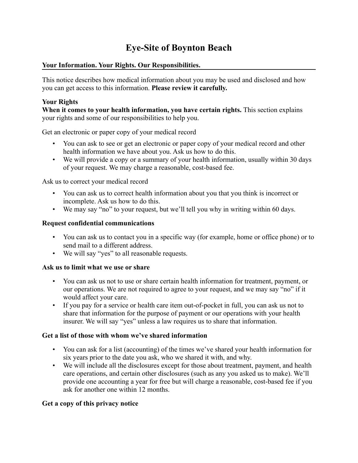# **Eye-Site of Boynton Beach**

# **Your Information. Your Rights. Our Responsibilities.**

This notice describes how medical information about you may be used and disclosed and how you can get access to this information. **Please review it carefully.**

# **Your Rights**

**When it comes to your health information, you have certain rights.** This section explains your rights and some of our responsibilities to help you.

Get an electronic or paper copy of your medical record

- You can ask to see or get an electronic or paper copy of your medical record and other health information we have about you. Ask us how to do this.
- We will provide a copy or a summary of your health information, usually within 30 days of your request. We may charge a reasonable, cost-based fee.

Ask us to correct your medical record

- You can ask us to correct health information about you that you think is incorrect or incomplete. Ask us how to do this.
- We may say "no" to your request, but we'll tell you why in writing within 60 days.

# **Request confidential communications**

- You can ask us to contact you in a specific way (for example, home or office phone) or to send mail to a different address.
- We will say "yes" to all reasonable requests.

# **Ask us to limit what we use or share**

- You can ask us not to use or share certain health information for treatment, payment, or our operations. We are not required to agree to your request, and we may say "no" if it would affect your care.
- If you pay for a service or health care item out-of-pocket in full, you can ask us not to share that information for the purpose of payment or our operations with your health insurer. We will say "yes" unless a law requires us to share that information.

# **Get a list of those with whom we've shared information**

- You can ask for a list (accounting) of the times we've shared your health information for six years prior to the date you ask, who we shared it with, and why.
- We will include all the disclosures except for those about treatment, payment, and health care operations, and certain other disclosures (such as any you asked us to make). We'll provide one accounting a year for free but will charge a reasonable, cost-based fee if you ask for another one within 12 months.

# **Get a copy of this privacy notice**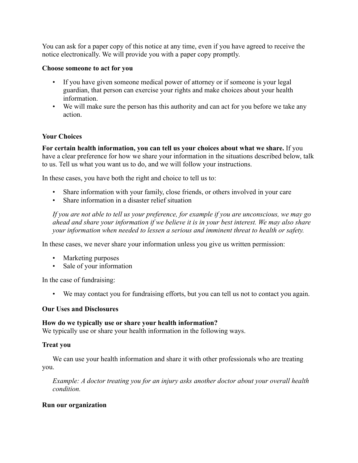You can ask for a paper copy of this notice at any time, even if you have agreed to receive the notice electronically. We will provide you with a paper copy promptly.

# **Choose someone to act for you**

- If you have given someone medical power of attorney or if someone is your legal guardian, that person can exercise your rights and make choices about your health information.
- We will make sure the person has this authority and can act for you before we take any action.

# **Your Choices**

**For certain health information, you can tell us your choices about what we share.** If you have a clear preference for how we share your information in the situations described below, talk to us. Tell us what you want us to do, and we will follow your instructions.

In these cases, you have both the right and choice to tell us to:

- Share information with your family, close friends, or others involved in your care
- Share information in a disaster relief situation

*If you are not able to tell us your preference, for example if you are unconscious, we may go ahead and share your information if we believe it is in your best interest. We may also share your information when needed to lessen a serious and imminent threat to health or safety.*

In these cases, we never share your information unless you give us written permission:

- Marketing purposes
- Sale of your information

In the case of fundraising:

• We may contact you for fundraising efforts, but you can tell us not to contact you again.

## **Our Uses and Disclosures**

## **How do we typically use or share your health information?**

We typically use or share your health information in the following ways.

# **Treat you**

We can use your health information and share it with other professionals who are treating you.

*Example: A doctor treating you for an injury asks another doctor about your overall health condition.*

# **Run our organization**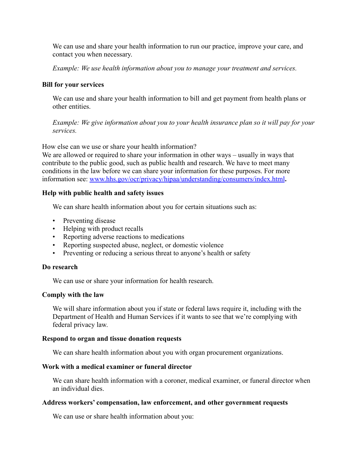We can use and share your health information to run our practice, improve your care, and contact you when necessary.

*Example: We use health information about you to manage your treatment and services.*

#### **Bill for your services**

We can use and share your health information to bill and get payment from health plans or other entities.

*Example: We give information about you to your health insurance plan so it will pay for your services.*

How else can we use or share your health information?

We are allowed or required to share your information in other ways – usually in ways that contribute to the public good, such as public health and research. We have to meet many conditions in the law before we can share your information for these purposes. For more information see: [www.hhs.gov/ocr/privacy/hipaa/understanding/consumers/index.html](http://www.hhs.gov/ocr/privacy/hipaa/understanding/consumers/index.html)**.**

## **Help with public health and safety issues**

We can share health information about you for certain situations such as:

- Preventing disease
- Helping with product recalls
- Reporting adverse reactions to medications
- Reporting suspected abuse, neglect, or domestic violence
- Preventing or reducing a serious threat to anyone's health or safety

## **Do research**

We can use or share your information for health research.

## **Comply with the law**

We will share information about you if state or federal laws require it, including with the Department of Health and Human Services if it wants to see that we're complying with federal privacy law.

#### **Respond to organ and tissue donation requests**

We can share health information about you with organ procurement organizations.

## **Work with a medical examiner or funeral director**

We can share health information with a coroner, medical examiner, or funeral director when an individual dies.

## **Address workers' compensation, law enforcement, and other government requests**

We can use or share health information about you: